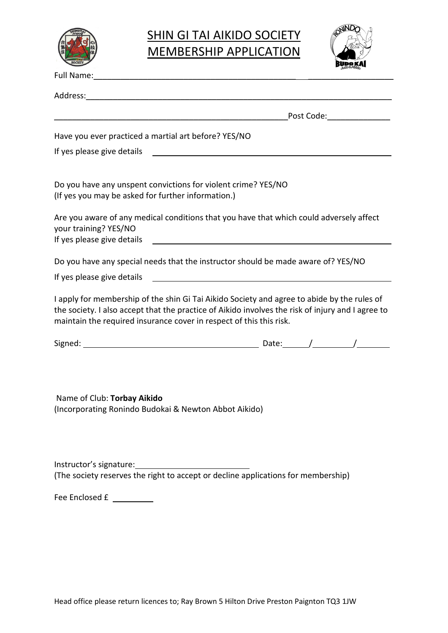

## **SHIN GI TAI AIKIDO SOCIETY** MEMBERSHIP APPLICATION



| Address: Address: Address: Address: Address: Address: Address: Address: Address: Address: Address: A                                                                                                                                                                    |                                                                                                                                                 |  |  |  |
|-------------------------------------------------------------------------------------------------------------------------------------------------------------------------------------------------------------------------------------------------------------------------|-------------------------------------------------------------------------------------------------------------------------------------------------|--|--|--|
|                                                                                                                                                                                                                                                                         | _Post Code:________________<br>and the control of the control of the control of the control of the control of the control of the control of the |  |  |  |
| Have you ever practiced a martial art before? YES/NO                                                                                                                                                                                                                    |                                                                                                                                                 |  |  |  |
| If yes please give details example and the state of the state of the state of the state of the state of the state of the state of the state of the state of the state of the state of the state of the state of the state of t                                          |                                                                                                                                                 |  |  |  |
| Do you have any unspent convictions for violent crime? YES/NO<br>(If yes you may be asked for further information.)                                                                                                                                                     |                                                                                                                                                 |  |  |  |
| Are you aware of any medical conditions that you have that which could adversely affect<br>your training? YES/NO                                                                                                                                                        |                                                                                                                                                 |  |  |  |
| Do you have any special needs that the instructor should be made aware of? YES/NO                                                                                                                                                                                       |                                                                                                                                                 |  |  |  |
|                                                                                                                                                                                                                                                                         |                                                                                                                                                 |  |  |  |
| I apply for membership of the shin Gi Tai Aikido Society and agree to abide by the rules of<br>the society. I also accept that the practice of Aikido involves the risk of injury and I agree to<br>maintain the required insurance cover in respect of this this risk. |                                                                                                                                                 |  |  |  |
|                                                                                                                                                                                                                                                                         |                                                                                                                                                 |  |  |  |
| Name of Club: Torbay Aikido<br>(Incorporating Ronindo Budokai & Newton Abbot Aikido)                                                                                                                                                                                    |                                                                                                                                                 |  |  |  |
| (The society reserves the right to accept or decline applications for membership)                                                                                                                                                                                       |                                                                                                                                                 |  |  |  |
| Fee Enclosed £                                                                                                                                                                                                                                                          |                                                                                                                                                 |  |  |  |
|                                                                                                                                                                                                                                                                         |                                                                                                                                                 |  |  |  |